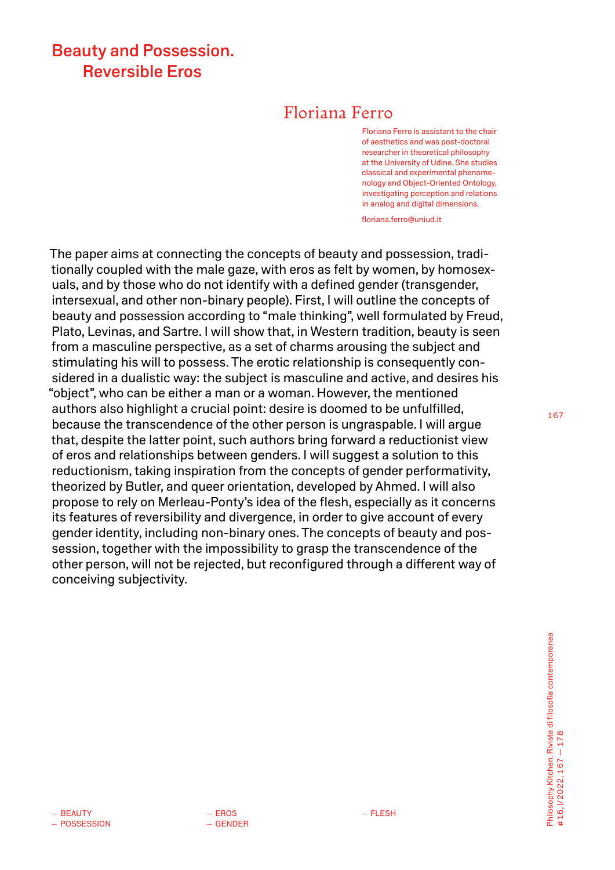# Beauty and Possession. Reversible Eros

# Floriana Ferro

Floriana Ferro is assistant to the chair of aesthetics and was post-doctoral researcher in theoretical philosophy at the University of Udine. She studies classical and experimental phenomenology and Object-Oriented Ontology, investigating perception and relations in analog and digital dimensions.

[floriana.ferro@uniud.it](mailto:floriana.ferro@uniud.it)

The paper aims at connecting the concepts of beauty and possession, traditionally coupled with the male gaze, with eros as felt by women, by homosexuals, and by those who do not identify with a defined gender (transgender, intersexual, and other non-binary people). First, I will outline the concepts of beauty and possession according to "male thinking", well formulated by Freud, Plato, Levinas, and Sartre. I will show that, in Western tradition, beauty is seen from a masculine perspective, as a set of charms arousing the subject and stimulating his will to possess. The erotic relationship is consequently considered in a dualistic way: the subject is masculine and active, and desires his "object", who can be either a man or a woman. However, the mentioned authors also highlight a crucial point: desire is doomed to be unfulfilled, because the transcendence of the other person is ungraspable. I will argue that, despite the latter point, such authors bring forward a reductionist view of eros and relationships between genders. I will suggest a solution to this reductionism, taking inspiration from the concepts of gender performativity, theorized by Butler, and queer orientation, developed by Ahmed. I will also propose to rely on Merleau-Ponty's idea of the flesh, especially as it concerns its features of reversibility and divergence, in order to give account of every gender identity, including non-binary ones. The concepts of beauty and possession, together with the impossibility to grasp the transcendence of the other person, will not be rejected, but reconfigured through a different way of conceiving subjectivity.

167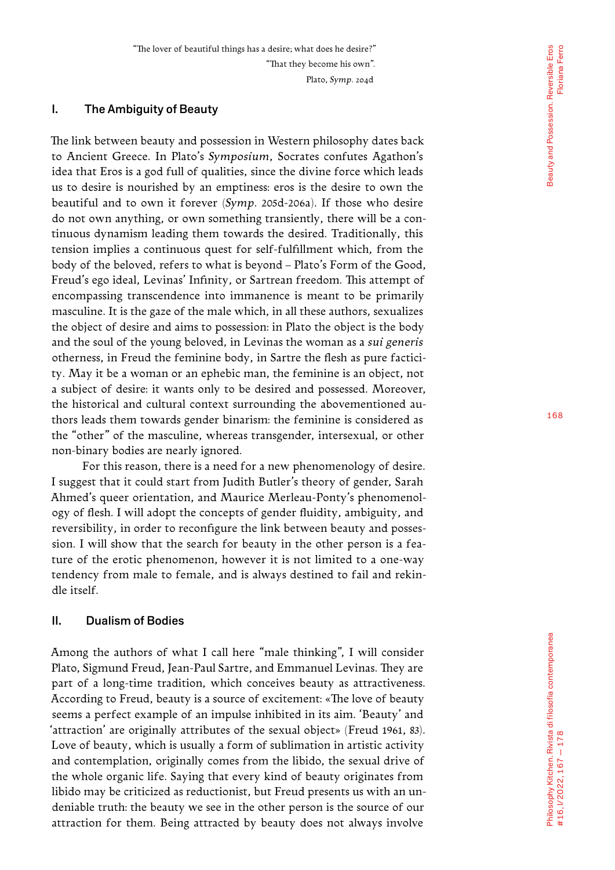"The lover of beautiful things has a desire; what does he desire?" "That they become his own". Plato, *Symp*. 204d

### I. The Ambiguity of Beauty

The link between beauty and possession in Western philosophy dates back to Ancient Greece. In Plato's *Symposium*, Socrates confutes Agathon's idea that Eros is a god full of qualities, since the divine force which leads us to desire is nourished by an emptiness: eros is the desire to own the beautiful and to own it forever (*Symp*. 205d-206a). If those who desire do not own anything, or own something transiently, there will be a con tinuous dynamism leading them towards the desired. Traditionally, this tension implies a continuous quest for self-fulfillment which, from the body of the beloved, refers to what is beyond – Plato's Form of the Good, Freud's ego ideal, Levinas' Infinity, or Sartrean freedom. This attempt of encompassing transcendence into immanence is meant to be primarily masculine. It is the gaze of the male which, in all these authors, sexualizes the object of desire and aims to possession: in Plato the object is the body and the soul of the young beloved, in Levinas the woman as a *sui generis*  otherness, in Freud the feminine body, in Sartre the flesh as pure factici ty. May it be a woman or an ephebic man, the feminine is an object, not a subject of desire: it wants only to be desired and possessed. Moreover, the historical and cultural context surrounding the abovementioned au thors leads them towards gender binarism: the feminine is considered as the "other" of the masculine, whereas transgender, intersexual, or other non-binary bodies are nearly ignored.

For this reason, there is a need for a new phenomenology of desire. I suggest that it could start from Judith Butler's theory of gender, Sarah Ahmed's queer orientation, and Maurice Merleau-Ponty's phenomenol ogy of flesh. I will adopt the concepts of gender fluidity, ambiguity, and reversibility, in order to reconfigure the link between beauty and posses sion. I will show that the search for beauty in the other person is a fea ture of the erotic phenomenon, however it is not limited to a one-way tendency from male to female, and is always destined to fail and rekin dle itself.

## II. Dualism of Bodies

Among the authors of what I call here "male thinking", I will consider Plato, Sigmund Freud, Jean-Paul Sartre, and Emmanuel Levinas. They are part of a long-time tradition, which conceives beauty as attractiveness. According to Freud, beauty is a source of excitement: «The love of beauty seems a perfect example of an impulse inhibited in its aim. 'Beauty' and 'attraction' are originally attributes of the sexual object» (Freud 1961, 83). Love of beauty, which is usually a form of sublimation in artistic activity and contemplation, originally comes from the libido, the sexual drive of the whole organic life. Saying that every kind of beauty originates from libido may be criticized as reductionist, but Freud presents us with an un deniable truth: the beauty we see in the other person is the source of our attraction for them. Being attracted by beauty does not always involve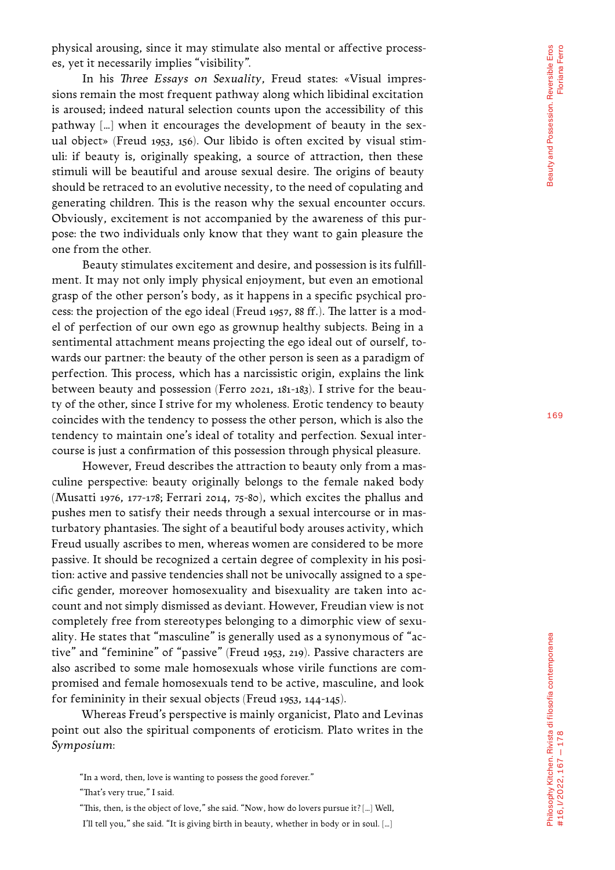physical arousing, since it may stimulate also mental or affective process es, yet it necessarily implies "visibility".

In his *Three Essays on Sexuality*, Freud states: «Visual impres sions remain the most frequent pathway along which libidinal excitation is aroused; indeed natural selection counts upon the accessibility of this pathway [...] when it encourages the development of beauty in the sexual object» (Freud 1953, 156). Our libido is often excited by visual stim uli: if beauty is, originally speaking, a source of attraction, then these stimuli will be beautiful and arouse sexual desire. The origins of beauty should be retraced to an evolutive necessity, to the need of copulating and generating children. This is the reason why the sexual encounter occurs. Obviously, excitement is not accompanied by the awareness of this pur pose: the two individuals only know that they want to gain pleasure the one from the other.

Beauty stimulates excitement and desire, and possession is its fulfill ment. It may not only imply physical enjoyment, but even an emotional grasp of the other person's body, as it happens in a specific psychical pro cess: the projection of the ego ideal (Freud 1957, 88 ff.). The latter is a mod el of perfection of our own ego as grownup healthy subjects. Being in a sentimental attachment means projecting the ego ideal out of ourself, to wards our partner: the beauty of the other person is seen as a paradigm of perfection. This process, which has a narcissistic origin, explains the link between beauty and possession (Ferro 2021, 181-183). I strive for the beau ty of the other, since I strive for my wholeness. Erotic tendency to beauty coincides with the tendency to possess the other person, which is also the tendency to maintain one's ideal of totality and perfection. Sexual inter course is just a confirmation of this possession through physical pleasure.

However, Freud describes the attraction to beauty only from a mas culine perspective: beauty originally belongs to the female naked body (Musatti 1976, 177-178; Ferrari 2014, 75-80), which excites the phallus and pushes men to satisfy their needs through a sexual intercourse or in mas turbatory phantasies. The sight of a beautiful body arouses activity, which Freud usually ascribes to men, whereas women are considered to be more passive. It should be recognized a certain degree of complexity in his posi tion: active and passive tendencies shall not be univocally assigned to a spe cific gender, moreover homosexuality and bisexuality are taken into ac count and not simply dismissed as deviant. However, Freudian view is not completely free from stereotypes belonging to a dimorphic view of sexu ality. He states that "masculine" is generally used as a synonymous of "ac tive" and "feminine" of "passive" (Freud 1953, 219). Passive characters are also ascribed to some male homosexuals whose virile functions are com promised and female homosexuals tend to be active, masculine, and look for femininity in their sexual objects (Freud 1953, 144-145).

Whereas Freud's perspective is mainly organicist, Plato and Levinas point out also the spiritual components of eroticism. Plato writes in the *Symposium*:

<sup>&</sup>quot;In a word, then, love is wanting to possess the good forever."

<sup>&</sup>quot;That's very true," I said.

<sup>&</sup>quot;This, then, is the object of love," she said. "Now, how do lovers pursue it? […] Well,

I'll tell you," she said. "It is giving birth in beauty, whether in body or in soul. [...]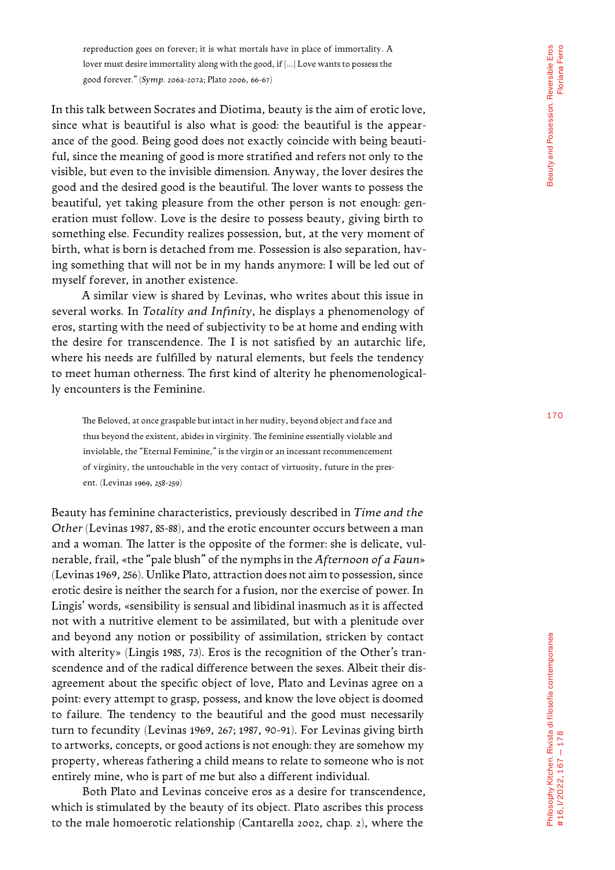reproduction goes on forever; it is what mortals have in place of immortality. A lover must desire immortality along with the good, if [...] Love wants to possess the good forever." (*Symp*. 206a-207a; Plato 2006, 66-67)

In this talk between Socrates and Diotima, beauty is the aim of erotic love, since what is beautiful is also what is good: the beautiful is the appear ance of the good. Being good does not exactly coincide with being beauti ful, since the meaning of good is more stratified and refers not only to the visible, but even to the invisible dimension. Anyway, the lover desires the good and the desired good is the beautiful. The lover wants to possess the beautiful, yet taking pleasure from the other person is not enough: gen eration must follow. Love is the desire to possess beauty, giving birth to something else. Fecundity realizes possession, but, at the very moment of birth, what is born is detached from me. Possession is also separation, hav ing something that will not be in my hands anymore: I will be led out of myself forever, in another existence.

A similar view is shared by Levinas, who writes about this issue in several works. In *Totality and Infinity*, he displays a phenomenology of eros, starting with the need of subjectivity to be at home and ending with the desire for transcendence. The I is not satisfied by an autarchic life, where his needs are fulfilled by natural elements, but feels the tendency to meet human otherness. The first kind of alterity he phenomenological ly encounters is the Feminine.

The Beloved, at once graspable but intact in her nudity, beyond object and face and thus beyond the existent, abides in virginity. The feminine essentially violable and inviolable, the "Eternal Feminine," is the virgin or an incessant recommencement of virginity, the untouchable in the very contact of virtuosity, future in the pres ent. (Levinas 1969, 258-259)

Beauty has feminine characteristics, previously described in *Time and the Other* (Levinas 1987, 85-88), and the erotic encounter occurs between a man and a woman. The latter is the opposite of the former: she is delicate, vul nerable, frail, «the "pale blush" of the nymphs in the *Afternoon of a Faun*» (Levinas 1969, 256). Unlike Plato, attraction does not aim to possession, since erotic desire is neither the search for a fusion, nor the exercise of power. In Lingis' words, «sensibility is sensual and libidinal inasmuch as it is affected not with a nutritive element to be assimilated, but with a plenitude over and beyond any notion or possibility of assimilation, stricken by contact with alterity» (Lingis 1985, 73). Eros is the recognition of the Other's tran scendence and of the radical difference between the sexes. Albeit their dis agreement about the specific object of love, Plato and Levinas agree on a point: every attempt to grasp, possess, and know the love object is doomed to failure. The tendency to the beautiful and the good must necessarily turn to fecundity (Levinas 1969, 267; 1987, 90-91). For Levinas giving birth to artworks, concepts, or good actions is not enough: they are somehow my property, whereas fathering a child means to relate to someone who is not entirely mine, who is part of me but also a different individual.

Both Plato and Levinas conceive eros as a desire for transcendence, which is stimulated by the beauty of its object. Plato ascribes this process to the male homoerotic relationship (Cantarella 2002, chap. 2), where the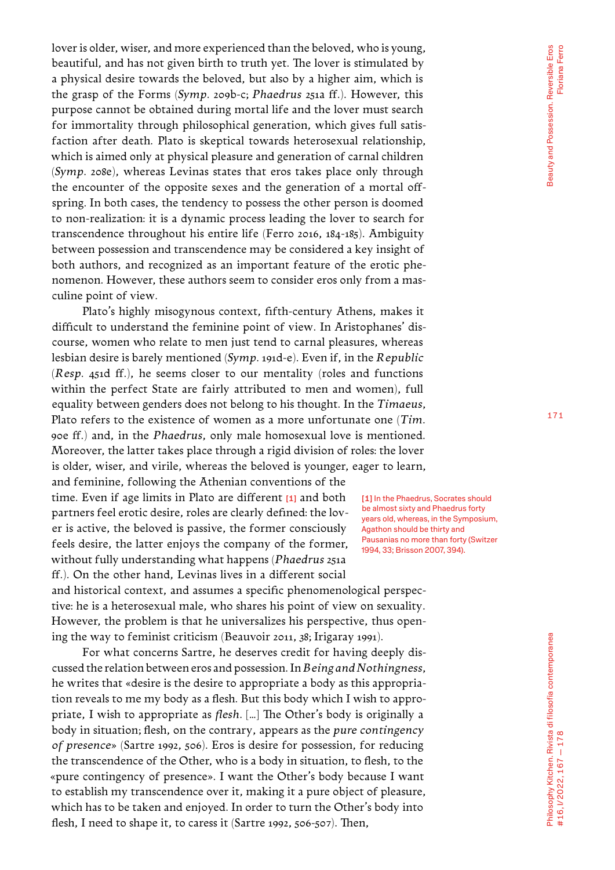lover is older, wiser, and more experienced than the beloved, who is young, beautiful, and has not given birth to truth yet. The lover is stimulated by a physical desire towards the beloved, but also by a higher aim, which is the grasp of the Forms (*Symp*. 209b-c; *Phaedrus* 251a ff.). However, this purpose cannot be obtained during mortal life and the lover must search for immortality through philosophical generation, which gives full satisfaction after death. Plato is skeptical towards heterosexual relationship, which is aimed only at physical pleasure and generation of carnal children (*Symp*. 208e), whereas Levinas states that eros takes place only through the encounter of the opposite sexes and the generation of a mortal offspring. In both cases, the tendency to possess the other person is doomed to non-realization: it is a dynamic process leading the lover to search for transcendence throughout his entire life (Ferro 2016, 184-185). Ambiguity between possession and transcendence may be considered a key insight of both authors, and recognized as an important feature of the erotic phenomenon. However, these authors seem to consider eros only from a masculine point of view.

Plato's highly misogynous context, fifth-century Athens, makes it difficult to understand the feminine point of view. In Aristophanes' discourse, women who relate to men just tend to carnal pleasures, whereas lesbian desire is barely mentioned (*Symp*. 191d-e). Even if, in the *Republic*  (*Resp*. 451d ff.), he seems closer to our mentality (roles and functions within the perfect State are fairly attributed to men and women), full equality between genders does not belong to his thought. In the *Timaeus*, Plato refers to the existence of women as a more unfortunate one (*Tim*. 90e ff.) and, in the *Phaedrus*, only male homosexual love is mentioned. Moreover, the latter takes place through a rigid division of roles: the lover is older, wiser, and virile, whereas the beloved is younger, eager to learn,

and feminine, following the Athenian conventions of the time. Even if age limits in Plato are different [1] and both partners feel erotic desire, roles are clearly defined: the lover is active, the beloved is passive, the former consciously feels desire, the latter enjoys the company of the former, without fully understanding what happens (*Phaedrus* 251a ff.). On the other hand, Levinas lives in a different social

and historical context, and assumes a specific phenomenological perspective: he is a heterosexual male, who shares his point of view on sexuality. However, the problem is that he universalizes his perspective, thus opening the way to feminist criticism (Beauvoir 2011, 38; Irigaray 1991).

For what concerns Sartre, he deserves credit for having deeply discussed the relation between eros and possession. In *Being and Nothingness*, he writes that «desire is the desire to appropriate a body as this appropriation reveals to me my body as a flesh. But this body which I wish to appropriate, I wish to appropriate as *flesh*. […] The Other's body is originally a body in situation; flesh, on the contrary, appears as the *pure contingency of presence*» (Sartre 1992, 506). Eros is desire for possession, for reducing the transcendence of the Other, who is a body in situation, to flesh, to the «pure contingency of presence». I want the Other's body because I want to establish my transcendence over it, making it a pure object of pleasure, which has to be taken and enjoyed. In order to turn the Other's body into flesh, I need to shape it, to caress it (Sartre 1992, 506-507). Then,

[1] In the Phaedrus, Socrates should be almost sixty and Phaedrus forty years old, whereas, in the Symposium, Agathon should be thirty and Pausanias no more than forty (Switzer 1994, 33; Brisson 2007, 394).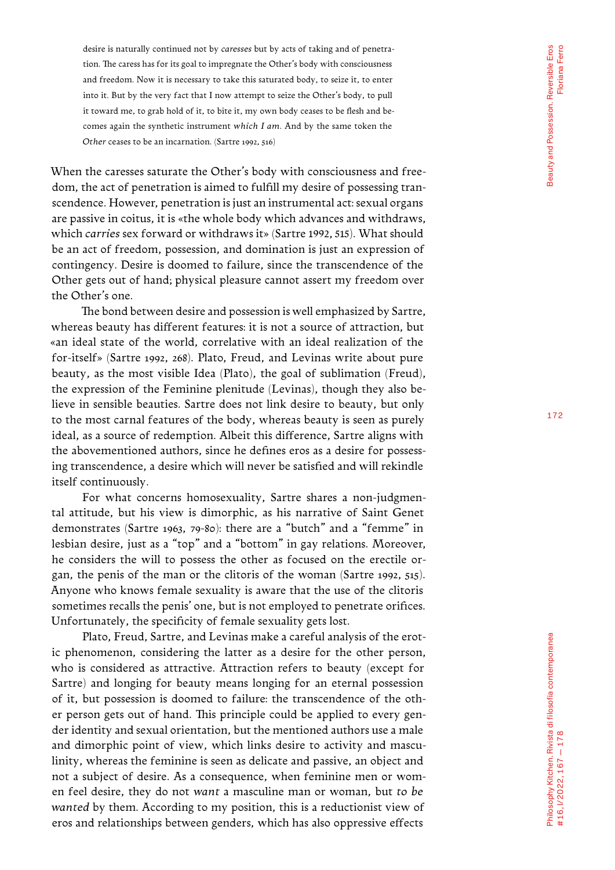desire is naturally continued not by *caresses* but by acts of taking and of penetra tion. The caress has for its goal to impregnate the Other's body with consciousness and freedom. Now it is necessary to take this saturated body, to seize it, to enter into it. But by the very fact that I now attempt to seize the Other's body, to pull it toward me, to grab hold of it, to bite it, my own body ceases to be flesh and becomes again the synthetic instrument *which I am*. And by the same token the *Other* ceases to be an incarnation. (Sartre 1992, 516)

When the caresses saturate the Other's body with consciousness and freedom, the act of penetration is aimed to fulfill my desire of possessing tran scendence. However, penetration is just an instrumental act: sexual organs are passive in coitus, it is «the whole body which advances and withdraws, which *carries* sex forward or withdraws it» (Sartre 1992, 515). What should be an act of freedom, possession, and domination is just an expression of contingency. Desire is doomed to failure, since the transcendence of the Other gets out of hand; physical pleasure cannot assert my freedom over the Other's one.

The bond between desire and possession is well emphasized by Sartre, whereas beauty has different features: it is not a source of attraction, but «an ideal state of the world, correlative with an ideal realization of the for-itself» (Sartre 1992, 268). Plato, Freud, and Levinas write about pure beauty, as the most visible Idea (Plato), the goal of sublimation (Freud), the expression of the Feminine plenitude (Levinas), though they also be lieve in sensible beauties. Sartre does not link desire to beauty, but only to the most carnal features of the body, whereas beauty is seen as purely ideal, as a source of redemption. Albeit this difference, Sartre aligns with the abovementioned authors, since he defines eros as a desire for possess ing transcendence, a desire which will never be satisfied and will rekindle itself continuously.

For what concerns homosexuality, Sartre shares a non-judgmen tal attitude, but his view is dimorphic, as his narrative of Saint Genet demonstrates (Sartre 1963, 79-80): there are a "butch" and a "femme" in lesbian desire, just as a "top" and a "bottom" in gay relations. Moreover, he considers the will to possess the other as focused on the erectile or gan, the penis of the man or the clitoris of the woman (Sartre 1992, 515). Anyone who knows female sexuality is aware that the use of the clitoris sometimes recalls the penis' one, but is not employed to penetrate orifices. Unfortunately, the specificity of female sexuality gets lost.

Plato, Freud, Sartre, and Levinas make a careful analysis of the erot ic phenomenon, considering the latter as a desire for the other person, who is considered as attractive. Attraction refers to beauty (except for Sartre) and longing for beauty means longing for an eternal possession of it, but possession is doomed to failure: the transcendence of the oth er person gets out of hand. This principle could be applied to every gen der identity and sexual orientation, but the mentioned authors use a male and dimorphic point of view, which links desire to activity and mascu linity, whereas the feminine is seen as delicate and passive, an object and not a subject of desire. As a consequence, when feminine men or wom en feel desire, they do not *want* a masculine man or woman, but *to be wanted* by them. According to my position, this is a reductionist view of eros and relationships between genders, which has also oppressive effects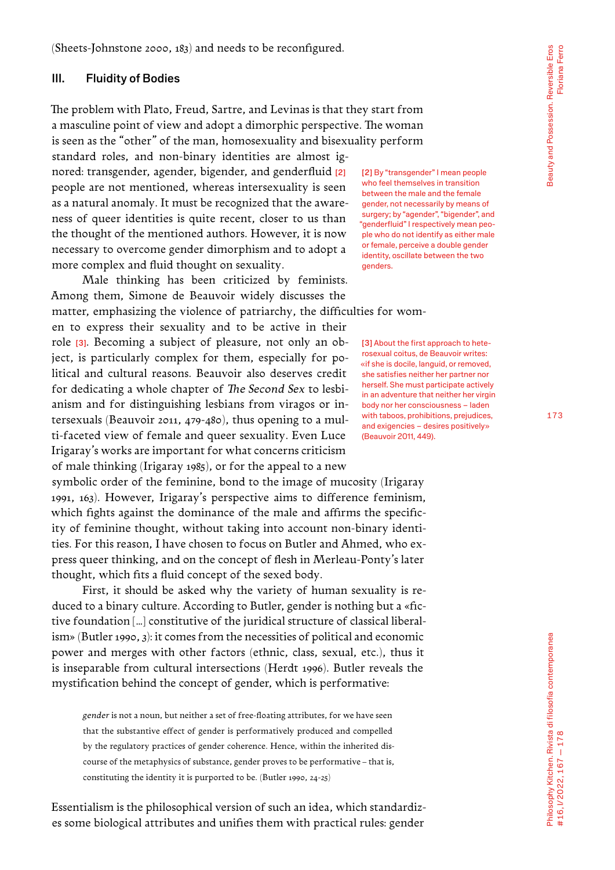(Sheets-Johnstone 2000, 183) and needs to be reconfigured.

#### III. Fluidity of Bodies

The problem with Plato, Freud, Sartre, and Levinas is that they start from a masculine point of view and adopt a dimorphic perspective. The woman is seen as the "other" of the man, homosexuality and bisexuality perform

standard roles, and non-binary identities are almost ignored: transgender, agender, bigender, and genderfluid [2] people are not mentioned, whereas intersexuality is seen as a natural anomaly. It must be recognized that the awareness of queer identities is quite recent, closer to us than the thought of the mentioned authors. However, it is now necessary to overcome gender dimorphism and to adopt a more complex and fluid thought on sexuality.

Male thinking has been criticized by feminists. Among them, Simone de Beauvoir widely discusses the

matter, emphasizing the violence of patriarchy, the difficulties for wom-

en to express their sexuality and to be active in their role [3]. Becoming a subject of pleasure, not only an object, is particularly complex for them, especially for political and cultural reasons. Beauvoir also deserves credit for dedicating a whole chapter of *The Second Sex* to lesbianism and for distinguishing lesbians from viragos or intersexuals (Beauvoir 2011, 479-480), thus opening to a multi-faceted view of female and queer sexuality. Even Luce Irigaray's works are important for what concerns criticism of male thinking (Irigaray 1985), or for the appeal to a new

symbolic order of the feminine, bond to the image of mucosity (Irigaray 1991, 163). However, Irigaray's perspective aims to difference feminism, which fights against the dominance of the male and affirms the specificity of feminine thought, without taking into account non-binary identities. For this reason, I have chosen to focus on Butler and Ahmed, who express queer thinking, and on the concept of flesh in Merleau-Ponty's later thought, which fits a fluid concept of the sexed body.

First, it should be asked why the variety of human sexuality is reduced to a binary culture. According to Butler, gender is nothing but a «fictive foundation […] constitutive of the juridical structure of classical liberalism» (Butler 1990, 3): it comes from the necessities of political and economic power and merges with other factors (ethnic, class, sexual, etc.), thus it is inseparable from cultural intersections (Herdt 1996). Butler reveals the mystification behind the concept of gender, which is performative:

*gender* is not a noun, but neither a set of free-floating attributes, for we have seen that the substantive effect of gender is performatively produced and compelled by the regulatory practices of gender coherence. Hence, within the inherited discourse of the metaphysics of substance, gender proves to be performative – that is, constituting the identity it is purported to be. (Butler 1990, 24-25)

Essentialism is the philosophical version of such an idea, which standardizes some biological attributes and unifies them with practical rules: gender

[2] By "transgender" I mean people who feel themselves in transition between the male and the female gender, not necessarily by means of surgery; by "agender", "bigender", and "genderfluid" I respectively mean people who do not identify as either male or female, perceive a double gender identity, oscillate between the two genders.

[3] About the first approach to heterosexual coitus, de Beauvoir writes: «if she is docile, languid, or removed, she satisfies neither her partner nor herself. She must participate actively in an adventure that neither her virgin body nor her consciousness – laden with taboos, prohibitions, prejudices, and exigencies – desires positively» (Beauvoir 2011, 449).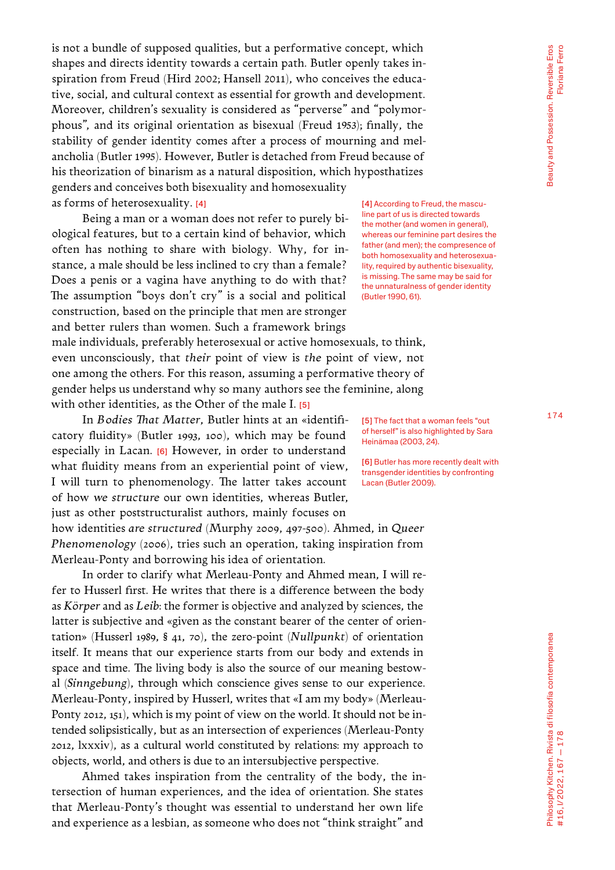174

is not a bundle of supposed qualities, but a performative concept, which shapes and directs identity towards a certain path. Butler openly takes inspiration from Freud (Hird 2002; Hansell 2011), who conceives the educative, social, and cultural context as essential for growth and development. Moreover, children's sexuality is considered as "perverse" and "polymorphous", and its original orientation as bisexual (Freud 1953); finally, the stability of gender identity comes after a process of mourning and melancholia (Butler 1995). However, Butler is detached from Freud because of his theorization of binarism as a natural disposition, which hyposthatizes genders and conceives both bisexuality and homosexuality as forms of heterosexuality. [4]

Being a man or a woman does not refer to purely biological features, but to a certain kind of behavior, which often has nothing to share with biology. Why, for instance, a male should be less inclined to cry than a female? Does a penis or a vagina have anything to do with that? The assumption "boys don't cry" is a social and political construction, based on the principle that men are stronger and better rulers than women. Such a framework brings

[4] According to Freud, the masculine part of us is directed towards the mother (and women in general), whereas our feminine part desires the father (and men); the compresence of both homosexuality and heterosexuality, required by authentic bisexuality, is missing. The same may be said for the unnaturalness of gender identity (Butler 1990, 61).

male individuals, preferably heterosexual or active homosexuals, to think, even unconsciously, that *their* point of view is *the* point of view, not one among the others. For this reason, assuming a performative theory of gender helps us understand why so many authors see the feminine, along with other identities, as the Other of the male I. [5]

In *Bodies That Matter*, Butler hints at an «identificatory fluidity» (Butler 1993, 100), which may be found especially in Lacan. [6] However, in order to understand what fluidity means from an experiential point of view, I will turn to phenomenology. The latter takes account of how *we structure* our own identities, whereas Butler, just as other poststructuralist authors, mainly focuses on how identities *are structured* (Murphy 2009, 497-500). Ahmed, in *Queer Phenomenology* (2006), tries such an operation, taking inspiration from Merleau-Ponty and borrowing his idea of orientation.

In order to clarify what Merleau-Ponty and Ahmed mean, I will refer to Husserl first. He writes that there is a difference between the body as *Körper* and as *Leib*: the former is objective and analyzed by sciences, the latter is subjective and «given as the constant bearer of the center of orientation» (Husserl 1989, § 41, 70), the zero-point (*Nullpunkt*) of orientation itself. It means that our experience starts from our body and extends in space and time. The living body is also the source of our meaning bestowal (*Sinngebung*), through which conscience gives sense to our experience. Merleau-Ponty, inspired by Husserl, writes that «I am my body» (Merleau-Ponty 2012, 151), which is my point of view on the world. It should not be intended solipsistically, but as an intersection of experiences (Merleau-Ponty 2012, lxxxiv), as a cultural world constituted by relations: my approach to objects, world, and others is due to an intersubjective perspective.

Ahmed takes inspiration from the centrality of the body, the intersection of human experiences, and the idea of orientation. She states that Merleau-Ponty's thought was essential to understand her own life and experience as a lesbian, as someone who does not "think straight" and

[5] The fact that a woman feels "out of herself" is also highlighted by Sara Heinämaa (2003, 24).

[6] Butler has more recently dealt with transgender identities by confronting Lacan (Butler 2009).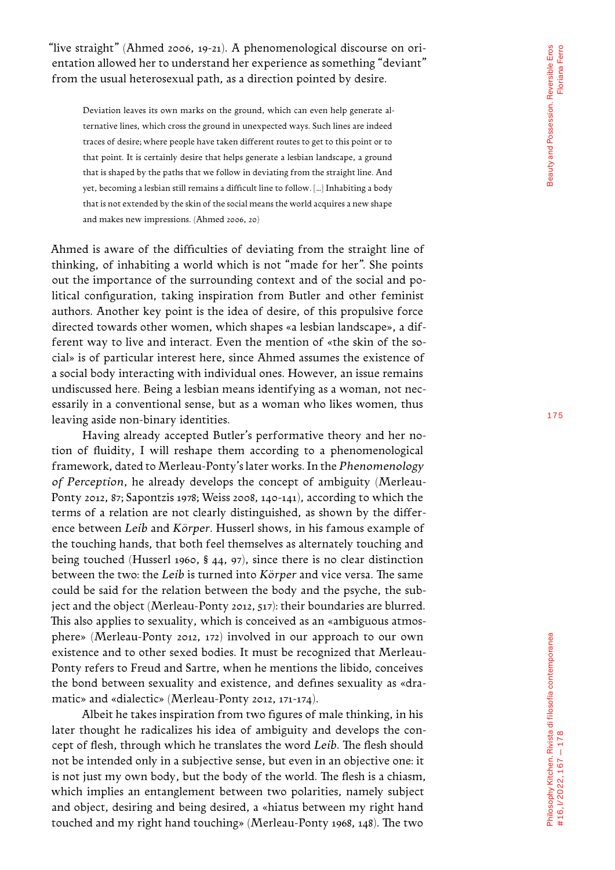"live straight" (Ahmed 2006, 19-21). A phenomenological discourse on ori entation allowed her to understand her experience as something "deviant" from the usual heterosexual path, as a direction pointed by desire.

Deviation leaves its own marks on the ground, which can even help generate al ternative lines, which cross the ground in unexpected ways. Such lines are indeed traces of desire; where people have taken different routes to get to this point or to that point. It is certainly desire that helps generate a lesbian landscape, a ground that is shaped by the paths that we follow in deviating from the straight line. And yet, becoming a lesbian still remains a difficult line to follow. […] Inhabiting a body that is not extended by the skin of the social means the world acquires a new shape and makes new impressions. (Ahmed 2006, 20)

Ahmed is aware of the difficulties of deviating from the straight line of thinking, of inhabiting a world which is not "made for her". She points out the importance of the surrounding context and of the social and po litical configuration, taking inspiration from Butler and other feminist authors. Another key point is the idea of desire, of this propulsive force directed towards other women, which shapes «a lesbian landscape», a dif ferent way to live and interact. Even the mention of «the skin of the so cial» is of particular interest here, since Ahmed assumes the existence of a social body interacting with individual ones. However, an issue remains undiscussed here. Being a lesbian means identifying as a woman, not nec essarily in a conventional sense, but as a woman who likes women, thus leaving aside non-binary identities.

Having already accepted Butler's performative theory and her no tion of fluidity, I will reshape them according to a phenomenological framework, dated to Merleau-Ponty's later works. In the *Phenomenology of Perception*, he already develops the concept of ambiguity (Merleau-Ponty 2012, 87; Sapontzis 1978; Weiss 2008, 140-141), according to which the terms of a relation are not clearly distinguished, as shown by the differ ence between *Leib* and *Körper*. Husserl shows, in his famous example of the touching hands, that both feel themselves as alternately touching and being touched (Husserl 1960, § 44, 97), since there is no clear distinction between the two: the *Leib* is turned into *Körper* and vice versa. The same could be said for the relation between the body and the psyche, the sub ject and the object (Merleau-Ponty 2012, 517): their boundaries are blurred. This also applies to sexuality, which is conceived as an «ambiguous atmos phere» (Merleau-Ponty 2012, 172) involved in our approach to our own existence and to other sexed bodies. It must be recognized that Merleau-Ponty refers to Freud and Sartre, when he mentions the libido, conceives the bond between sexuality and existence, and defines sexuality as «dra matic» and «dialectic» (Merleau-Ponty 2012, 171-174).

Albeit he takes inspiration from two figures of male thinking, in his later thought he radicalizes his idea of ambiguity and develops the con cept of flesh, through which he translates the word *Leib*. The flesh should not be intended only in a subjective sense, but even in an objective one: it is not just my own body, but the body of the world. The flesh is a chiasm, which implies an entanglement between two polarities, namely subject and object, desiring and being desired, a «hiatus between my right hand touched and my right hand touching» (Merleau-Ponty 1968, 148). The two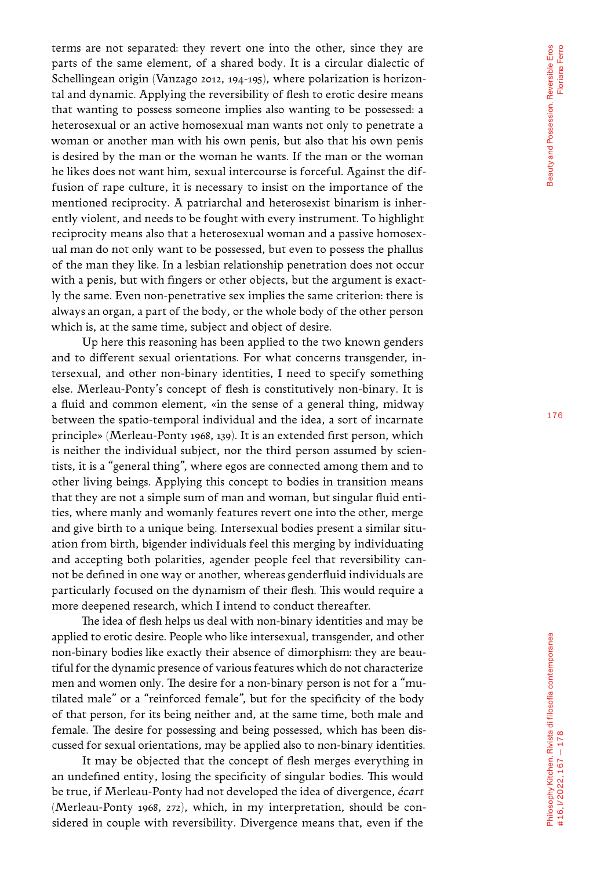terms are not separated: they revert one into the other, since they are parts of the same element, of a shared body. It is a circular dialectic of Schellingean origin (Vanzago 2012, 194-195), where polarization is horizon tal and dynamic. Applying the reversibility of flesh to erotic desire means that wanting to possess someone implies also wanting to be possessed: a heterosexual or an active homosexual man wants not only to penetrate a woman or another man with his own penis, but also that his own penis is desired by the man or the woman he wants. If the man or the woman he likes does not want him, sexual intercourse is forceful. Against the dif fusion of rape culture, it is necessary to insist on the importance of the mentioned reciprocity. A patriarchal and heterosexist binarism is inher ently violent, and needs to be fought with every instrument. To highlight reciprocity means also that a heterosexual woman and a passive homosex ual man do not only want to be possessed, but even to possess the phallus of the man they like. In a lesbian relationship penetration does not occur with a penis, but with fingers or other objects, but the argument is exact ly the same. Even non-penetrative sex implies the same criterion: there is always an organ, a part of the body, or the whole body of the other person which is, at the same time, subject and object of desire.

Up here this reasoning has been applied to the two known genders and to different sexual orientations. For what concerns transgender, in tersexual, and other non-binary identities, I need to specify something else. Merleau-Ponty's concept of flesh is constitutively non-binary. It is a fluid and common element, «in the sense of a general thing, midway between the spatio-temporal individual and the idea, a sort of incarnate principle» (Merleau-Ponty 1968, 139). It is an extended first person, which is neither the individual subject, nor the third person assumed by scien tists, it is a "general thing", where egos are connected among them and to other living beings. Applying this concept to bodies in transition means that they are not a simple sum of man and woman, but singular fluid enti ties, where manly and womanly features revert one into the other, merge and give birth to a unique being. Intersexual bodies present a similar situ ation from birth, bigender individuals feel this merging by individuating and accepting both polarities, agender people feel that reversibility can not be defined in one way or another, whereas genderfluid individuals are particularly focused on the dynamism of their flesh. This would require a more deepened research, which I intend to conduct thereafter.

The idea of flesh helps us deal with non-binary identities and may be applied to erotic desire. People who like intersexual, transgender, and other non-binary bodies like exactly their absence of dimorphism: they are beau tiful for the dynamic presence of various features which do not characterize men and women only. The desire for a non-binary person is not for a "mu tilated male" or a "reinforced female", but for the specificity of the body of that person, for its being neither and, at the same time, both male and female. The desire for possessing and being possessed, which has been dis cussed for sexual orientations, may be applied also to non-binary identities.

It may be objected that the concept of flesh merges everything in an undefined entity, losing the specificity of singular bodies. This would be true, if Merleau-Ponty had not developed the idea of divergence, *écart* (Merleau-Ponty 1968, 272), which, in my interpretation, should be con sidered in couple with reversibility. Divergence means that, even if the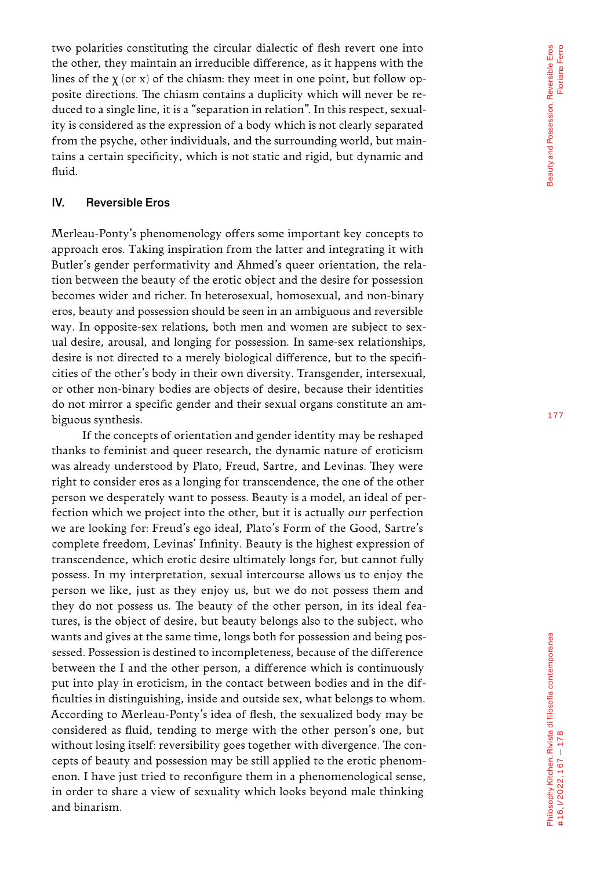two polarities constituting the circular dialectic of flesh revert one into the other, they maintain an irreducible difference, as it happens with the lines of the  $\chi$  (or  $\mathrm{x})$  of the chiasm: they meet in one point, but follow opposite directions. The chiasm contains a duplicity which will never be re duced to a single line, it is a "separation in relation". In this respect, sexual ity is considered as the expression of a body which is not clearly separated from the psyche, other individuals, and the surrounding world, but main tains a certain specificity, which is not static and rigid, but dynamic and fluid.

## IV. Reversible Eros

Merleau-Ponty's phenomenology offers some important key concepts to approach eros. Taking inspiration from the latter and integrating it with Butler's gender performativity and Ahmed's queer orientation, the rela tion between the beauty of the erotic object and the desire for possession becomes wider and richer. In heterosexual, homosexual, and non-binary eros, beauty and possession should be seen in an ambiguous and reversible way. In opposite-sex relations, both men and women are subject to sex ual desire, arousal, and longing for possession. In same-sex relationships, desire is not directed to a merely biological difference, but to the specifi cities of the other's body in their own diversity. Transgender, intersexual, or other non-binary bodies are objects of desire, because their identities do not mirror a specific gender and their sexual organs constitute an am biguous synthesis.

If the concepts of orientation and gender identity may be reshaped thanks to feminist and queer research, the dynamic nature of eroticism was already understood by Plato, Freud, Sartre, and Levinas. They were right to consider eros as a longing for transcendence, the one of the other person we desperately want to possess. Beauty is a model, an ideal of per fection which we project into the other, but it is actually *our* perfection we are looking for: Freud's ego ideal, Plato's Form of the Good, Sartre's complete freedom, Levinas' Infinity. Beauty is the highest expression of transcendence, which erotic desire ultimately longs for, but cannot fully possess. In my interpretation, sexual intercourse allows us to enjoy the person we like, just as they enjoy us, but we do not possess them and they do not possess us. The beauty of the other person, in its ideal fea tures, is the object of desire, but beauty belongs also to the subject, who wants and gives at the same time, longs both for possession and being pos sessed. Possession is destined to incompleteness, because of the difference between the I and the other person, a difference which is continuously put into play in eroticism, in the contact between bodies and in the dif ficulties in distinguishing, inside and outside sex, what belongs to whom. According to Merleau-Ponty's idea of flesh, the sexualized body may be considered as fluid, tending to merge with the other person's one, but without losing itself: reversibility goes together with divergence. The con cepts of beauty and possession may be still applied to the erotic phenom enon. I have just tried to reconfigure them in a phenomenological sense, in order to share a view of sexuality which looks beyond male thinking and binarism.